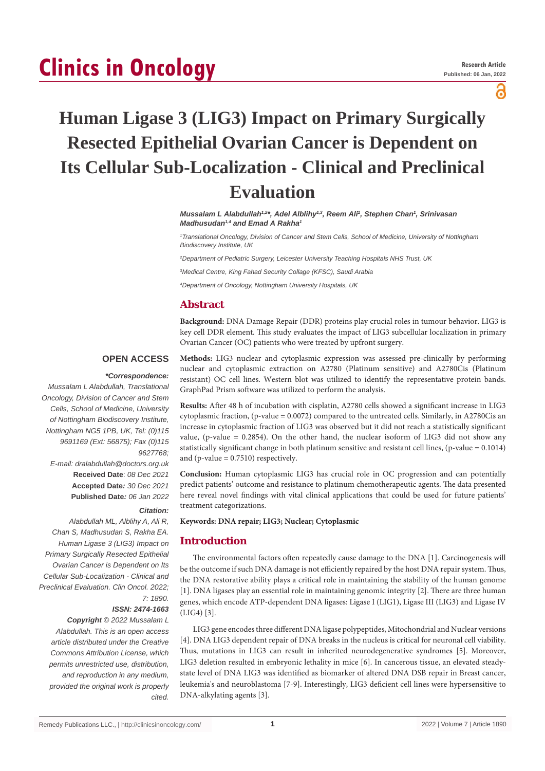# **Clinics in Oncology**

ဥ

## **Human Ligase 3 (LIG3) Impact on Primary Surgically Resected Epithelial Ovarian Cancer is Dependent on Its Cellular Sub-Localization - Clinical and Preclinical Evaluation**

*Mussalam L Alabdullah1,2\*, Adel Alblihy1,3, Reem Ali1 , Stephen Chan1 , Srinivasan Madhusudan1,4 and Emad A Rakha1*

*1 Translational Oncology, Division of Cancer and Stem Cells, School of Medicine, University of Nottingham Biodiscovery Institute, UK*

*2 Department of Pediatric Surgery, Leicester University Teaching Hospitals NHS Trust, UK*

*3 Medical Centre, King Fahad Security Collage (KFSC), Saudi Arabia*

*4 Department of Oncology, Nottingham University Hospitals, UK*

## **Abstract**

**Background:** DNA Damage Repair (DDR) proteins play crucial roles in tumour behavior. LIG3 is key cell DDR element. This study evaluates the impact of LIG3 subcellular localization in primary Ovarian Cancer (OC) patients who were treated by upfront surgery.

## **OPEN ACCESS**

## *\*Correspondence:*

*Mussalam L Alabdullah, Translational Oncology, Division of Cancer and Stem Cells, School of Medicine, University of Nottingham Biodiscovery Institute, Nottingham NG5 1PB, UK, Tel: (0)115 9691169 (Ext: 56875); Fax (0)115 9627768;*

*E-mail: dralabdullah@doctors.org.uk* **Received Date**: *08 Dec 2021* **Accepted Date***: 30 Dec 2021* **Published Date***: 06 Jan 2022*

#### *Citation:*

*Alabdullah ML, Alblihy A, Ali R, Chan S, Madhusudan S, Rakha EA. Human Ligase 3 (LIG3) Impact on Primary Surgically Resected Epithelial Ovarian Cancer is Dependent on Its Cellular Sub-Localization - Clinical and Preclinical Evaluation. Clin Oncol. 2022; 7: 1890.*

#### *ISSN: 2474-1663*

*Copyright © 2022 Mussalam L Alabdullah. This is an open access article distributed under the Creative Commons Attribution License, which permits unrestricted use, distribution, and reproduction in any medium, provided the original work is properly cited.*

**Methods:** LIG3 nuclear and cytoplasmic expression was assessed pre-clinically by performing nuclear and cytoplasmic extraction on A2780 (Platinum sensitive) and A2780Cis (Platinum resistant) OC cell lines. Western blot was utilized to identify the representative protein bands. GraphPad Prism software was utilized to perform the analysis.

**Results:** After 48 h of incubation with cisplatin, A2780 cells showed a significant increase in LIG3 cytoplasmic fraction, (p-value = 0.0072) compared to the untreated cells. Similarly, in A2780Cis an increase in cytoplasmic fraction of LIG3 was observed but it did not reach a statistically significant value, (p-value  $= 0.2854$ ). On the other hand, the nuclear isoform of LIG3 did not show any statistically significant change in both platinum sensitive and resistant cell lines,  $(p$ -value = 0.1014) and (p-value  $= 0.7510$ ) respectively.

**Conclusion:** Human cytoplasmic LIG3 has crucial role in OC progression and can potentially predict patients' outcome and resistance to platinum chemotherapeutic agents. The data presented here reveal novel findings with vital clinical applications that could be used for future patients' treatment categorizations.

#### **Keywords: DNA repair; LIG3; Nuclear; Cytoplasmic**

## **Introduction**

The environmental factors often repeatedly cause damage to the DNA [1]. Carcinogenesis will be the outcome if such DNA damage is not efficiently repaired by the host DNA repair system. Thus, the DNA restorative ability plays a critical role in maintaining the stability of the human genome [1]. DNA ligases play an essential role in maintaining genomic integrity [2]. There are three human genes, which encode ATP-dependent DNA ligases: Ligase I (LIG1), Ligase III (LIG3) and Ligase IV (LIG4) [3].

LIG3 gene encodes three different DNA ligase polypeptides, Mitochondrial and Nuclear versions [4]. DNA LIG3 dependent repair of DNA breaks in the nucleus is critical for neuronal cell viability. Thus, mutations in LIG3 can result in inherited neurodegenerative syndromes [5]. Moreover, LIG3 deletion resulted in embryonic lethality in mice [6]. In cancerous tissue, an elevated steadystate level of DNA LIG3 was identified as biomarker of altered DNA DSB repair in Breast cancer, leukemia's and neuroblastoma [7-9]. Interestingly, LIG3 deficient cell lines were hypersensitive to DNA-alkylating agents [3].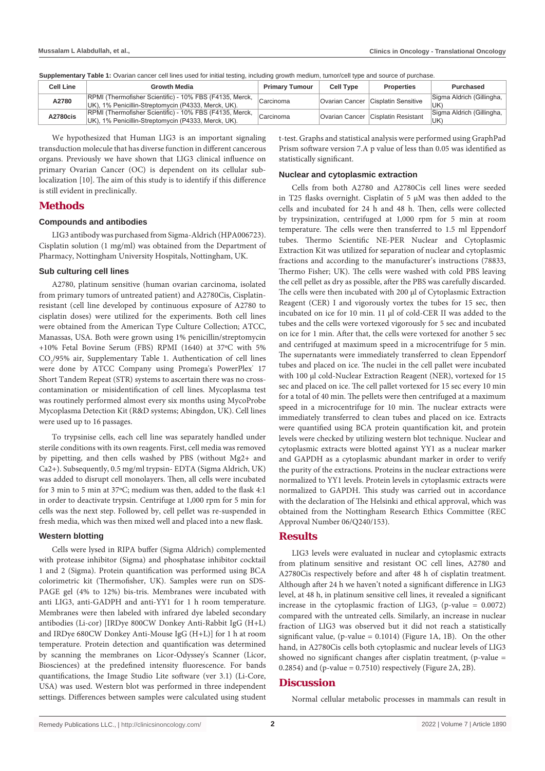UK)

Sigma Aldrich (Gillingha,

| <b>Oupplementary Table 1.</b> Ovalian cancer cell lines used for linital testing, including growth medium, turnor/cell type and source or purchase. |                  |                                                                                                                |                       |                  |                                      |                                 |
|-----------------------------------------------------------------------------------------------------------------------------------------------------|------------------|----------------------------------------------------------------------------------------------------------------|-----------------------|------------------|--------------------------------------|---------------------------------|
|                                                                                                                                                     | <b>Cell Line</b> | Growth Media                                                                                                   | <b>Primary Tumour</b> | <b>Cell Type</b> | <b>Properties</b>                    | Purchased                       |
|                                                                                                                                                     | A2780            | RPMI (Thermofisher Scientific) - 10% FBS (F4135, Merck,<br>UK), 1% Penicillin-Streptomycin (P4333, Merck, UK). | Carcinoma             |                  | Ovarian Cancer   Cisplatin Sensitive | Sigma Aldrich (Gillingha,<br>UK |

RPMI (Thermofisher Scientific) - 10% FBS (F4135, Merck, Carcinoma<br>UK), 1% Penicillin-Streptomycin (P4333, Merck, UK).

**Supplementary Table 1:** Ovarian cancer cell lines used for initial testing, including growth medium, tumor/cell type and source of purchase.

We hypothesized that Human LIG3 is an important signaling transduction molecule that has diverse function in different cancerous organs. Previously we have shown that LIG3 clinical influence on primary Ovarian Cancer (OC) is dependent on its cellular sublocalization [10]. The aim of this study is to identify if this difference is still evident in preclinically.

**A2780cis** RPMI (Thermofisher Scientific) - 10% FBS (F4135, Merck,

## **Methods**

### **Compounds and antibodies**

LIG3 antibody was purchased from Sigma-Aldrich (HPA006723). Cisplatin solution (1 mg/ml) was obtained from the Department of Pharmacy, Nottingham University Hospitals, Nottingham, UK.

### **Sub culturing cell lines**

A2780, platinum sensitive (human ovarian carcinoma, isolated from primary tumors of untreated patient) and A2780Cis, Cisplatinresistant (cell line developed by continuous exposure of A2780 to cisplatin doses) were utilized for the experiments. Both cell lines were obtained from the American Type Culture Collection; ATCC, Manassas, USA. Both were grown using 1% penicillin/streptomycin +10% Fetal Bovine Serum (FBS) RPMI (1640) at 37ºC with 5% CO<sub>2</sub>/95% air, Supplementary Table 1. Authentication of cell lines were done by ATCC Company using Promega's PowerPlex<sup>®</sup> 17 Short Tandem Repeat (STR) systems to ascertain there was no crosscontamination or misidentification of cell lines. Mycoplasma test was routinely performed almost every six months using MycoProbe Mycoplasma Detection Kit (R&D systems; Abingdon, UK). Cell lines were used up to 16 passages.

To trypsinise cells, each cell line was separately handled under sterile conditions with its own reagents. First, cell media was removed by pipetting, and then cells washed by PBS (without Mg2+ and Ca2+). Subsequently, 0.5 mg/ml trypsin- EDTA (Sigma Aldrich, UK) was added to disrupt cell monolayers. Then, all cells were incubated for 3 min to 5 min at 37ºC; medium was then, added to the flask 4:1 in order to deactivate trypsin. Centrifuge at 1,000 rpm for 5 min for cells was the next step. Followed by, cell pellet was re-suspended in fresh media, which was then mixed well and placed into a new flask.

#### **Western blotting**

Cells were lysed in RIPA buffer (Sigma Aldrich) complemented with protease inhibitor (Sigma) and phosphatase inhibitor cocktail 1 and 2 (Sigma). Protein quantification was performed using BCA colorimetric kit (Thermofisher, UK). Samples were run on SDS-PAGE gel (4% to 12%) bis-tris. Membranes were incubated with anti LIG3, anti-GADPH and anti-YY1 for 1 h room temperature. Membranes were then labeled with infrared dye labeled secondary antibodies (Li-cor) [IRDye 800CW Donkey Anti-Rabbit IgG (H+L) and IRDye 680CW Donkey Anti-Mouse IgG (H+L)] for 1 h at room temperature. Protein detection and quantification was determined by scanning the membranes on Licor-Odyssey's Scanner (Licor, Biosciences) at the predefined intensity fluorescence. For bands quantifications, the Image Studio Lite software (ver 3.1) (Li-Core, USA) was used. Western blot was performed in three independent settings. Differences between samples were calculated using student t-test. Graphs and statistical analysis were performed using GraphPad Prism software version 7.A p value of less than 0.05 was identified as statistically significant.

#### **Nuclear and cytoplasmic extraction**

Cells from both A2780 and A2780Cis cell lines were seeded in T25 flasks overnight. Cisplatin of 5 μM was then added to the cells and incubated for 24 h and 48 h. Then, cells were collected by trypsinization, centrifuged at 1,000 rpm for 5 min at room temperature. The cells were then transferred to 1.5 ml Eppendorf tubes. Thermo Scientific NE-PER Nuclear and Cytoplasmic Extraction Kit was utilized for separation of nuclear and cytoplasmic fractions and according to the manufacturer's instructions (78833, Thermo Fisher; UK). The cells were washed with cold PBS leaving the cell pellet as dry as possible, after the PBS was carefully discarded. The cells were then incubated with 200 μl of Cytoplasmic Extraction Reagent (CER) I and vigorously vortex the tubes for 15 sec, then incubated on ice for 10 min. 11 μl of cold-CER II was added to the tubes and the cells were vortexed vigorously for 5 sec and incubated on ice for 1 min. After that, the cells were vortexed for another 5 sec and centrifuged at maximum speed in a microcentrifuge for 5 min. The supernatants were immediately transferred to clean Eppendorf tubes and placed on ice. The nuclei in the cell pallet were incubated with 100 μl cold-Nuclear Extraction Reagent (NER), vortexed for 15 sec and placed on ice. The cell pallet vortexed for 15 sec every 10 min for a total of 40 min. The pellets were then centrifuged at a maximum speed in a microcentrifuge for 10 min. The nuclear extracts were immediately transferred to clean tubes and placed on ice. Extracts were quantified using BCA protein quantification kit, and protein levels were checked by utilizing western blot technique. Nuclear and cytoplasmic extracts were blotted against YY1 as a nuclear marker and GAPDH as a cytoplasmic abundant marker in order to verify the purity of the extractions. Proteins in the nuclear extractions were normalized to YY1 levels. Protein levels in cytoplasmic extracts were normalized to GAPDH. This study was carried out in accordance with the declaration of The Helsinki and ethical approval, which was obtained from the Nottingham Research Ethics Committee (REC Approval Number 06/Q240/153).

## **Results**

LIG3 levels were evaluated in nuclear and cytoplasmic extracts from platinum sensitive and resistant OC cell lines, A2780 and A2780Cis respectively before and after 48 h of cisplatin treatment. Although after 24 h we haven't noted a significant difference in LIG3 level, at 48 h, in platinum sensitive cell lines, it revealed a significant increase in the cytoplasmic fraction of LIG3, (p-value = 0.0072) compared with the untreated cells. Similarly, an increase in nuclear fraction of LIG3 was observed but it did not reach a statistically significant value, (p-value =  $0.1014$ ) (Figure 1A, 1B). On the other hand, in A2780Cis cells both cytoplasmic and nuclear levels of LIG3 showed no significant changes after cisplatin treatment, (p-value = 0.2854) and  $(p-value = 0.7510)$  respectively (Figure 2A, 2B).

## **Discussion**

Normal cellular metabolic processes in mammals can result in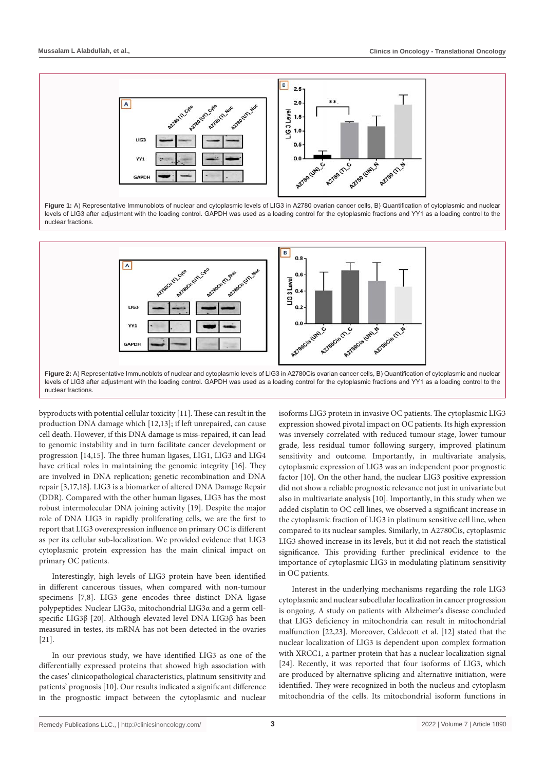

Figure 1: A) Representative Immunoblots of nuclear and cytoplasmic levels of LIG3 in A2780 ovarian cancer cells, B) Quantification of cytoplasmic and nuclear levels of LIG3 after adjustment with the loading control. GAPDH was used as a loading control for the cytoplasmic fractions and YY1 as a loading control to the nuclear fractions.



nuclear fractions.

byproducts with potential cellular toxicity [11]. These can result in the production DNA damage which [12,13]; if left unrepaired, can cause cell death. However, if this DNA damage is miss-repaired, it can lead to genomic instability and in turn facilitate cancer development or progression [14,15]. The three human ligases, LIG1, LIG3 and LIG4 have critical roles in maintaining the genomic integrity [16]. They are involved in DNA replication; genetic recombination and DNA repair [3,17,18]. LIG3 is a biomarker of altered DNA Damage Repair (DDR). Compared with the other human ligases, LIG3 has the most robust intermolecular DNA joining activity [19]. Despite the major role of DNA LIG3 in rapidly proliferating cells, we are the first to report that LIG3 overexpression influence on primary OC is different as per its cellular sub-localization. We provided evidence that LIG3 cytoplasmic protein expression has the main clinical impact on primary OC patients.

Interestingly, high levels of LIG3 protein have been identified in different cancerous tissues, when compared with non-tumour specimens [7,8]. LIG3 gene encodes three distinct DNA ligase polypeptides: Nuclear LIG3α, mitochondrial LIG3α and a germ cellspecific LIG3β [20]. Although elevated level DNA LIG3β has been measured in testes, its mRNA has not been detected in the ovaries [21].

In our previous study, we have identified LIG3 as one of the differentially expressed proteins that showed high association with the cases' clinicopathological characteristics, platinum sensitivity and patients' prognosis [10]. Our results indicated a significant difference in the prognostic impact between the cytoplasmic and nuclear

isoforms LIG3 protein in invasive OC patients. The cytoplasmic LIG3 expression showed pivotal impact on OC patients. Its high expression was inversely correlated with reduced tumour stage, lower tumour grade, less residual tumor following surgery, improved platinum sensitivity and outcome. Importantly, in multivariate analysis, cytoplasmic expression of LIG3 was an independent poor prognostic factor [10]. On the other hand, the nuclear LIG3 positive expression did not show a reliable prognostic relevance not just in univariate but also in multivariate analysis [10]. Importantly, in this study when we added cisplatin to OC cell lines, we observed a significant increase in the cytoplasmic fraction of LIG3 in platinum sensitive cell line, when compared to its nuclear samples. Similarly, in A2780Cis, cytoplasmic LIG3 showed increase in its levels, but it did not reach the statistical significance. This providing further preclinical evidence to the importance of cytoplasmic LIG3 in modulating platinum sensitivity in OC patients.

Interest in the underlying mechanisms regarding the role LIG3 cytoplasmic and nuclear subcellular localization in cancer progression is ongoing. A study on patients with Alzheimer's disease concluded that LIG3 deficiency in mitochondria can result in mitochondrial malfunction [22,23]. Moreover, Caldecott et al. [12] stated that the nuclear localization of LIG3 is dependent upon complex formation with XRCC1, a partner protein that has a nuclear localization signal [24]. Recently, it was reported that four isoforms of LIG3, which are produced by alternative splicing and alternative initiation, were identified. They were recognized in both the nucleus and cytoplasm mitochondria of the cells. Its mitochondrial isoform functions in